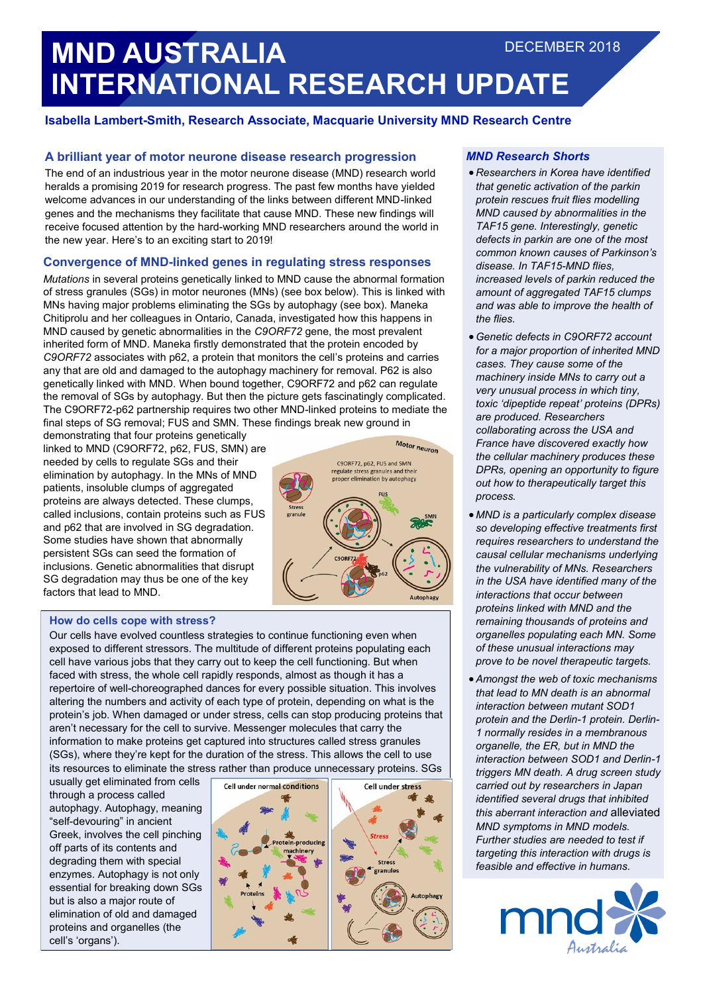# **MND AUSTRALIA INTERNATIONAL RESEARCH UPDATE** DECEMBER 2018

## **Isabella Lambert-Smith, Research Associate, Macquarie University MND Research Centre**

## **A brilliant year of motor neurone disease research progression**

The end of an industrious year in the motor neurone disease (MND) research world heralds a promising 2019 for research progress. The past few months have yielded welcome advances in our understanding of the links between different MND-linked genes and the mechanisms they facilitate that cause MND. These new findings will receive focused attention by the hard-working MND researchers around the world in the new year. Here's to an exciting start to 2019!

## **Convergence of MND-linked genes in regulating stress responses**

*Mutations* in several proteins genetically linked to MND cause the abnormal formation of stress granules (SGs) in motor neurones (MNs) (see box below). This is linked with MNs having major problems eliminating the SGs by autophagy (see box). Maneka Chitiprolu and her colleagues in Ontario, Canada, investigated how this happens in MND caused by genetic abnormalities in the *C9ORF72* gene, the most prevalent inherited form of MND. Maneka firstly demonstrated that the protein encoded by *C9ORF72* associates with p62, a protein that monitors the cell's proteins and carries any that are old and damaged to the autophagy machinery for removal. P62 is also genetically linked with MND. When bound together, C9ORF72 and p62 can regulate the removal of SGs by autophagy. But then the picture gets fascinatingly complicated. The C9ORF72-p62 partnership requires two other MND-linked proteins to mediate the final steps of SG removal; FUS and SMN. These findings break new ground in

demonstrating that four proteins genetically linked to MND (C9ORF72, p62, FUS, SMN) are needed by cells to regulate SGs and their elimination by autophagy. In the MNs of MND patients, insoluble clumps of aggregated proteins are always detected. These clumps, called inclusions, contain proteins such as FUS and p62 that are involved in SG degradation. Some studies have shown that abnormally persistent SGs can seed the formation of inclusions. Genetic abnormalities that disrupt SG degradation may thus be one of the key factors that lead to MND.



#### **How do cells cope with stress?**

Our cells have evolved countless strategies to continue functioning even when exposed to different stressors. The multitude of different proteins populating each cell have various jobs that they carry out to keep the cell functioning. But when faced with stress, the whole cell rapidly responds, almost as though it has a repertoire of well-choreographed dances for every possible situation. This involves altering the numbers and activity of each type of protein, depending on what is the protein's job. When damaged or under stress, cells can stop producing proteins that aren't necessary for the cell to survive. Messenger molecules that carry the information to make proteins get captured into structures called stress granules (SGs), where they're kept for the duration of the stress. This allows the cell to use its resources to eliminate the stress rather than produce unnecessary proteins. SGs

usually get eliminated from cells through a process called autophagy. Autophagy, meaning "self-devouring" in ancient Greek, involves the cell pinching off parts of its contents and degrading them with special enzymes. Autophagy is not only essential for breaking down SGs but is also a major route of elimination of old and damaged proteins and organelles (the cell's 'organs').



#### *MND Research Shorts*

- *Researchers in Korea have identified that genetic activation of the parkin protein rescues fruit flies modelling MND caused by abnormalities in the TAF15 gene. Interestingly, genetic defects in parkin are one of the most common known causes of Parkinson's disease. In TAF15-MND flies, increased levels of parkin reduced the amount of aggregated TAF15 clumps and was able to improve the health of the flies.*
- *Genetic defects in C9ORF72 account for a major proportion of inherited MND cases. They cause some of the machinery inside MNs to carry out a very unusual process in which tiny, toxic 'dipeptide repeat' proteins (DPRs) are produced. Researchers collaborating across the USA and France have discovered exactly how the cellular machinery produces these DPRs, opening an opportunity to figure out how to therapeutically target this process.*
- *MND is a particularly complex disease so developing effective treatments first requires researchers to understand the causal cellular mechanisms underlying the vulnerability of MNs. Researchers in the USA have identified many of the interactions that occur between proteins linked with MND and the remaining thousands of proteins and organelles populating each MN. Some of these unusual interactions may prove to be novel therapeutic targets.*
- *Amongst the web of toxic mechanisms that lead to MN death is an abnormal interaction between mutant SOD1 protein and the Derlin-1 protein. Derlin-1 normally resides in a membranous organelle, the ER, but in MND the interaction between SOD1 and Derlin-1 triggers MN death. A drug screen study carried out by researchers in Japan identified several drugs that inhibited this aberrant interaction and* alleviated *MND symptoms in MND models. Further studies are needed to test if targeting this interaction with drugs is feasible and effective in humans.*